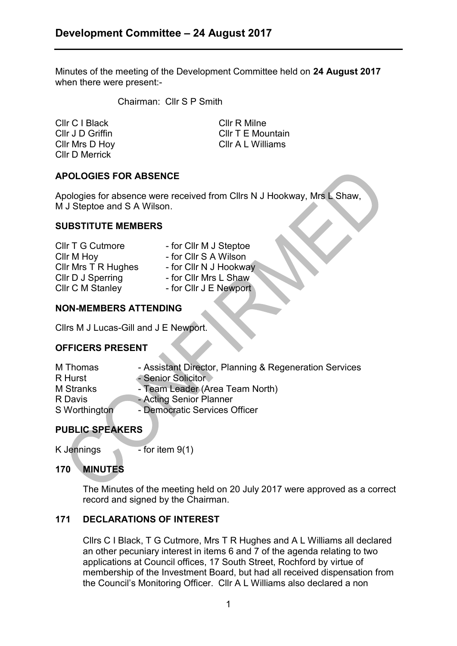Minutes of the meeting of the Development Committee held on **24 August 2017** when there were present:-

Chairman: Cllr S P Smith

Cllr C I Black Cllr R Milne Cllr D Merrick

Cllr J D Griffin **Cllr T E Mountain** Cllr Mrs D Hoy Cllr A L Williams

# **APOLOGIES FOR ABSENCE**

Apologies for absence were received from Cllrs N J Hookway, Mrs L Shaw, M J Steptoe and S A Wilson.

### **SUBSTITUTE MEMBERS**

| <b>CIIr T G Cutmore</b> | - for Cllr M J Steptoe |
|-------------------------|------------------------|
| Cllr M Hoy              | - for Cllr S A Wilson  |
| Cllr Mrs T R Hughes     | - for Cllr N J Hookway |
| CIIr D J Sperring       | - for Cllr Mrs L Shaw  |
| <b>CIIr C M Stanley</b> | - for CIIr J E Newport |
|                         |                        |

### **NON-MEMBERS ATTENDING**

Cllrs M J Lucas-Gill and J E Newport.

### **OFFICERS PRESENT**

| M Thomas         | - Assistant Director, Planning & Regeneration Services |
|------------------|--------------------------------------------------------|
| R Hurst          | - Senior Solicitor                                     |
| <b>M</b> Stranks | - Team Leader (Area Team North)                        |
| R Davis          | - Acting Senior Planner                                |
| S Worthington    | - Democratic Services Officer                          |
|                  |                                                        |

# **PUBLIC SPEAKERS**

K Jennings  $\sim$  - for item 9(1)

# **170 MINUTES**

The Minutes of the meeting held on 20 July 2017 were approved as a correct record and signed by the Chairman.

# **171 DECLARATIONS OF INTEREST**

Cllrs C I Black, T G Cutmore, Mrs T R Hughes and A L Williams all declared an other pecuniary interest in items 6 and 7 of the agenda relating to two applications at Council offices, 17 South Street, Rochford by virtue of membership of the Investment Board, but had all received dispensation from the Council's Monitoring Officer. Cllr A L Williams also declared a non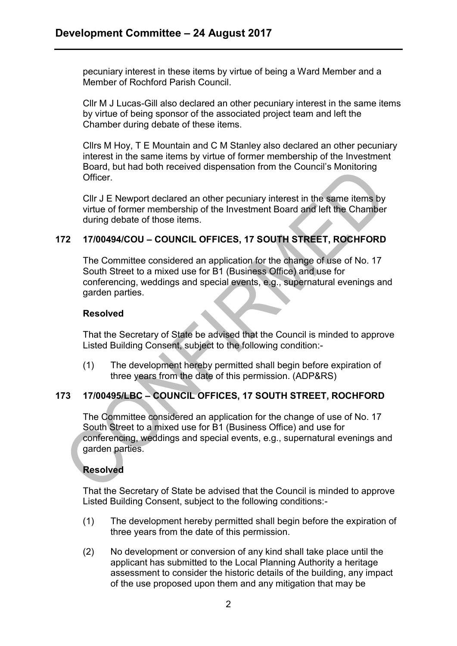pecuniary interest in these items by virtue of being a Ward Member and a Member of Rochford Parish Council.

Cllr M J Lucas-Gill also declared an other pecuniary interest in the same items by virtue of being sponsor of the associated project team and left the Chamber during debate of these items.

Cllrs M Hoy, T E Mountain and C M Stanley also declared an other pecuniary interest in the same items by virtue of former membership of the Investment Board, but had both received dispensation from the Council's Monitoring Officer.

Cllr J E Newport declared an other pecuniary interest in the same items by virtue of former membership of the Investment Board and left the Chamber during debate of those items.

# **172 17/00494/COU – COUNCIL OFFICES, 17 SOUTH STREET, ROCHFORD**

The Committee considered an application for the change of use of No. 17 South Street to a mixed use for B1 (Business Office) and use for conferencing, weddings and special events, e.g., supernatural evenings and garden parties.

#### **Resolved**

That the Secretary of State be advised that the Council is minded to approve Listed Building Consent, subject to the following condition:-

(1) The development hereby permitted shall begin before expiration of three years from the date of this permission. (ADP&RS)

### **173 17/00495/LBC – COUNCIL OFFICES, 17 SOUTH STREET, ROCHFORD**

The Committee considered an application for the change of use of No. 17 South Street to a mixed use for B1 (Business Office) and use for conferencing, weddings and special events, e.g., supernatural evenings and garden parties.

### **Resolved**

That the Secretary of State be advised that the Council is minded to approve Listed Building Consent, subject to the following conditions:-

- (1) The development hereby permitted shall begin before the expiration of three years from the date of this permission.
- (2) No development or conversion of any kind shall take place until the applicant has submitted to the Local Planning Authority a heritage assessment to consider the historic details of the building, any impact of the use proposed upon them and any mitigation that may be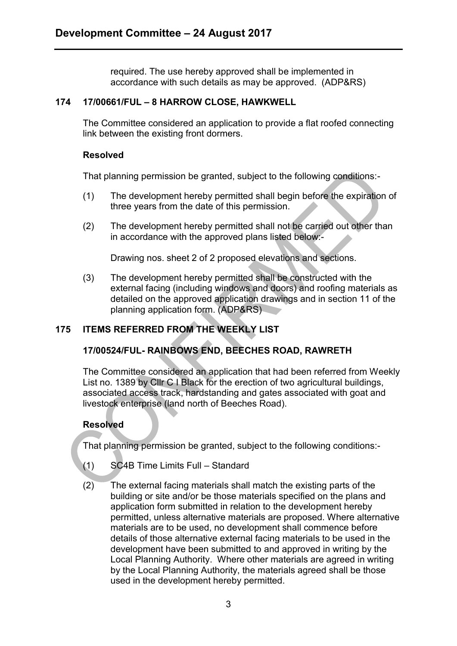required. The use hereby approved shall be implemented in accordance with such details as may be approved. (ADP&RS)

### **174 17/00661/FUL – 8 HARROW CLOSE, HAWKWELL**

The Committee considered an application to provide a flat roofed connecting link between the existing front dormers.

### **Resolved**

That planning permission be granted, subject to the following conditions:-

- (1) The development hereby permitted shall begin before the expiration of three years from the date of this permission.
- (2) The development hereby permitted shall not be carried out other than in accordance with the approved plans listed below:-

Drawing nos. sheet 2 of 2 proposed elevations and sections.

(3) The development hereby permitted shall be constructed with the external facing (including windows and doors) and roofing materials as detailed on the approved application drawings and in section 11 of the planning application form. (ADP&RS)

# **175 ITEMS REFERRED FROM THE WEEKLY LIST**

# **17/00524/FUL- RAINBOWS END, BEECHES ROAD, RAWRETH**

The Committee considered an application that had been referred from Weekly List no. 1389 by Cllr C I Black for the erection of two agricultural buildings, associated access track, hardstanding and gates associated with goat and livestock enterprise (land north of Beeches Road).

# **Resolved**

That planning permission be granted, subject to the following conditions:-

- (1) SC4B Time Limits Full Standard
- (2) The external facing materials shall match the existing parts of the building or site and/or be those materials specified on the plans and application form submitted in relation to the development hereby permitted, unless alternative materials are proposed. Where alternative materials are to be used, no development shall commence before details of those alternative external facing materials to be used in the development have been submitted to and approved in writing by the Local Planning Authority. Where other materials are agreed in writing by the Local Planning Authority, the materials agreed shall be those used in the development hereby permitted.